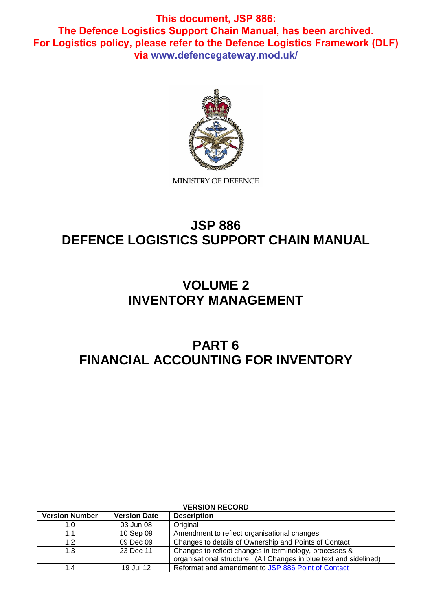

# **JSP 886 DEFENCE LOGISTICS SUPPORT CHAIN MANUAL**

# **VOLUME 2 INVENTORY MANAGEMENT**

# **PART 6 FINANCIAL ACCOUNTING FOR INVENTORY**

| <b>VERSION RECORD</b>                                              |           |                                                                                                                              |  |  |  |
|--------------------------------------------------------------------|-----------|------------------------------------------------------------------------------------------------------------------------------|--|--|--|
| <b>Version Number</b><br><b>Description</b><br><b>Version Date</b> |           |                                                                                                                              |  |  |  |
| 1.0                                                                | 03 Jun 08 | Original                                                                                                                     |  |  |  |
| 1.1                                                                | 10 Sep 09 | Amendment to reflect organisational changes                                                                                  |  |  |  |
| 1.2                                                                | 09 Dec 09 | Changes to details of Ownership and Points of Contact                                                                        |  |  |  |
| 1.3                                                                | 23 Dec 11 | Changes to reflect changes in terminology, processes &<br>organisational structure. (All Changes in blue text and sidelined) |  |  |  |
| 1.4                                                                | 19 Jul 12 | Reformat and amendment to JSP 886 Point of Contact                                                                           |  |  |  |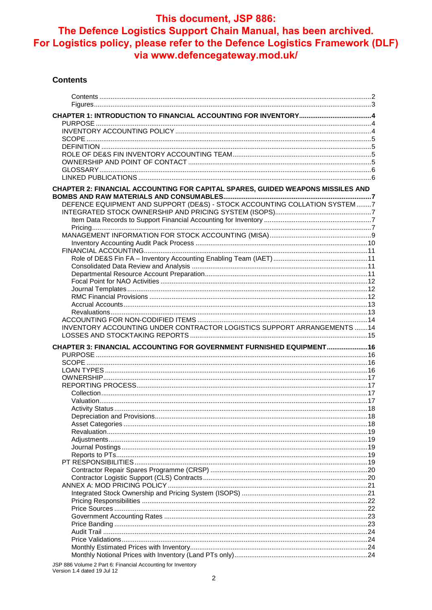#### **Contents**

| CHAPTER 2: FINANCIAL ACCOUNTING FOR CAPITAL SPARES, GUIDED WEAPONS MISSILES AND |  |
|---------------------------------------------------------------------------------|--|
| DEFENCE EQUIPMENT AND SUPPORT (DE&S) - STOCK ACCOUNTING COLLATION SYSTEM7       |  |
|                                                                                 |  |
|                                                                                 |  |
|                                                                                 |  |
|                                                                                 |  |
|                                                                                 |  |
|                                                                                 |  |
|                                                                                 |  |
|                                                                                 |  |
|                                                                                 |  |
|                                                                                 |  |
| INVENTORY ACCOUNTING UNDER CONTRACTOR LOGISTICS SUPPORT ARRANGEMENTS 14         |  |
|                                                                                 |  |
| CHAPTER 3: FINANCIAL ACCOUNTING FOR GOVERNMENT FURNISHED EQUIPMENT16            |  |
|                                                                                 |  |
|                                                                                 |  |
|                                                                                 |  |
|                                                                                 |  |
|                                                                                 |  |
|                                                                                 |  |
|                                                                                 |  |
|                                                                                 |  |
|                                                                                 |  |
|                                                                                 |  |
|                                                                                 |  |
|                                                                                 |  |
|                                                                                 |  |
|                                                                                 |  |
|                                                                                 |  |
|                                                                                 |  |
|                                                                                 |  |
|                                                                                 |  |
| JSP 886 Volume 2 Part 6: Financial Accounting for Inventory                     |  |

Version 1.4 dated 19 Jul 12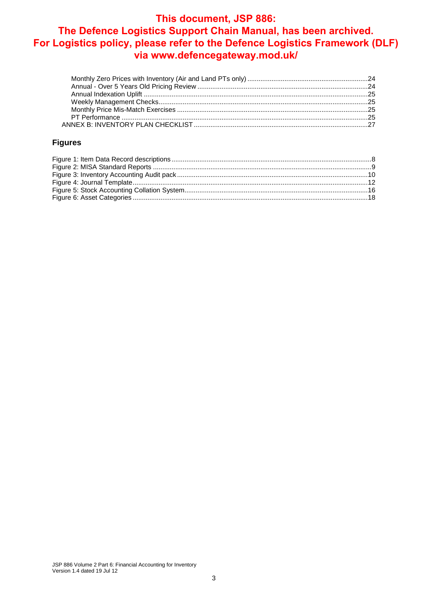### **Figures**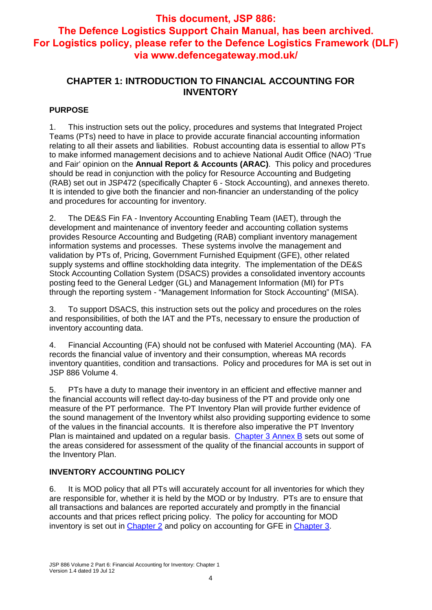## **CHAPTER 1: INTRODUCTION TO FINANCIAL ACCOUNTING FOR INVENTORY**

## **PURPOSE**

1. This instruction sets out the policy, procedures and systems that Integrated Project Teams (PTs) need to have in place to provide accurate financial accounting information relating to all their assets and liabilities. Robust accounting data is essential to allow PTs to make informed management decisions and to achieve National Audit Office (NAO) 'True and Fair' opinion on the **Annual Report & Accounts (ARAC)**. This policy and procedures should be read in conjunction with the policy for Resource Accounting and Budgeting (RAB) set out in JSP472 (specifically Chapter 6 - Stock Accounting), and annexes thereto. It is intended to give both the financier and non-financier an understanding of the policy and procedures for accounting for inventory.

2. The DE&S Fin FA - Inventory Accounting Enabling Team (IAET), through the development and maintenance of inventory feeder and accounting collation systems provides Resource Accounting and Budgeting (RAB) compliant inventory management information systems and processes. These systems involve the management and validation by PTs of, Pricing, Government Furnished Equipment (GFE), other related supply systems and offline stockholding data integrity. The implementation of the DE&S Stock Accounting Collation System (DSACS) provides a consolidated inventory accounts posting feed to the General Ledger (GL) and Management Information (MI) for PTs through the reporting system - "Management Information for Stock Accounting" (MISA).

3. To support DSACS, this instruction sets out the policy and procedures on the roles and responsibilities, of both the IAT and the PTs, necessary to ensure the production of inventory accounting data.

4. Financial Accounting (FA) should not be confused with Materiel Accounting (MA). FA records the financial value of inventory and their consumption, whereas MA records inventory quantities, condition and transactions. Policy and procedures for MA is set out in JSP 886 Volume 4.

5. PTs have a duty to manage their inventory in an efficient and effective manner and the financial accounts will reflect day-to-day business of the PT and provide only one measure of the PT performance. The PT Inventory Plan will provide further evidence of the sound management of the Inventory whilst also providing supporting evidence to some of the values in the financial accounts. It is therefore also imperative the PT Inventory Plan is maintained and updated on a regular basis. Chapter 3 Annex B sets out some of the areas considered for assessment of the quality of the financial accounts in support of the Inventory Plan.

## **INVENTORY ACCOUNTING POLICY**

6. It is MOD policy that all PTs will accurately account for all inventories for which they are responsible for, whether it is held by the MOD or by Industry. PTs are to ensure that all transactions and balances are reported accurately and promptly in the financial accounts and that prices reflect pricing policy. The policy for accounting for MOD inventory is set out in Chapter 2 and policy on accounting for GFE in Chapter 3.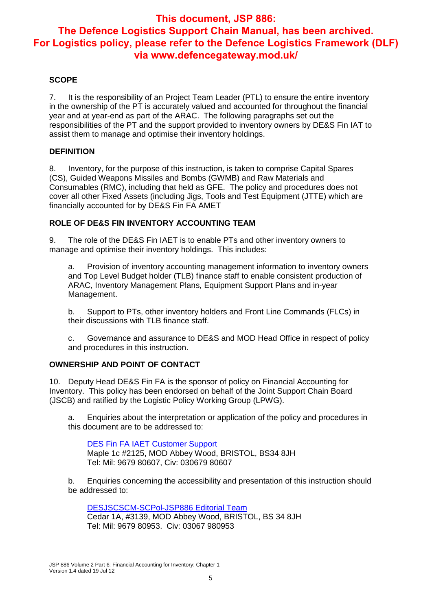## **SCOPE**

7. It is the responsibility of an Project Team Leader (PTL) to ensure the entire inventory in the ownership of the PT is accurately valued and accounted for throughout the financial year and at year-end as part of the ARAC. The following paragraphs set out the responsibilities of the PT and the support provided to inventory owners by DE&S Fin IAT to assist them to manage and optimise their inventory holdings.

#### **DEFINITION**

8. Inventory, for the purpose of this instruction, is taken to comprise Capital Spares (CS), Guided Weapons Missiles and Bombs (GWMB) and Raw Materials and Consumables (RMC), including that held as GFE. The policy and procedures does not cover all other Fixed Assets (including Jigs, Tools and Test Equipment (JTTE) which are financially accounted for by DE&S Fin FA AMET

## **ROLE OF DE&S FIN INVENTORY ACCOUNTING TEAM**

9. The role of the DE&S Fin IAET is to enable PTs and other inventory owners to manage and optimise their inventory holdings. This includes:

a. Provision of inventory accounting management information to inventory owners and Top Level Budget holder (TLB) finance staff to enable consistent production of ARAC, Inventory Management Plans, Equipment Support Plans and in-year Management.

b. Support to PTs, other inventory holders and Front Line Commands (FLCs) in their discussions with TLB finance staff.

c. Governance and assurance to DE&S and MOD Head Office in respect of policy and procedures in this instruction.

### **OWNERSHIP AND POINT OF CONTACT**

10. Deputy Head DE&S Fin FA is the sponsor of policy on Financial Accounting for Inventory. This policy has been endorsed on behalf of the Joint Support Chain Board (JSCB) and ratified by the Logistic Policy Working Group (LPWG).

a. Enquiries about the interpretation or application of the policy and procedures in this document are to be addressed to:

DES Fin FA IAET Customer Support Maple 1c #2125, MOD Abbey Wood, BRISTOL, BS34 8JH Tel: Mil: 9679 80607, Civ: 030679 80607

b. Enquiries concerning the accessibility and presentation of this instruction should be addressed to:

DESJSCSCM-SCPol-JSP886 Editorial Team Cedar 1A, #3139, MOD Abbey Wood, BRISTOL, BS 34 8JH Tel: Mil: 9679 80953. Civ: 03067 980953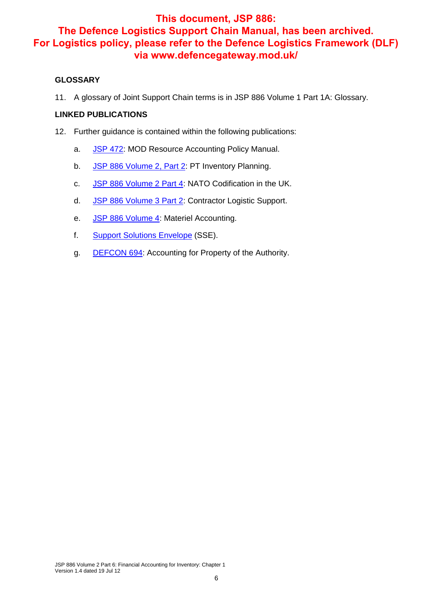## **GLOSSARY**

11. A glossary of Joint Support Chain terms is in JSP 886 Volume 1 Part 1A: Glossary.

### **LINKED PUBLICATIONS**

- 12. Further guidance is contained within the following publications:
	- a. JSP 472: MOD Resource Accounting Policy Manual.
	- b. JSP 886 Volume 2, Part 2: PT Inventory Planning.
	- c. JSP 886 Volume 2 Part 4: NATO Codification in the UK.
	- d. JSP 886 Volume 3 Part 2: Contractor Logistic Support.
	- e. JSP 886 Volume 4: Materiel Accounting.
	- f. Support Solutions Envelope (SSE).
	- g. DEFCON 694: Accounting for Property of the Authority.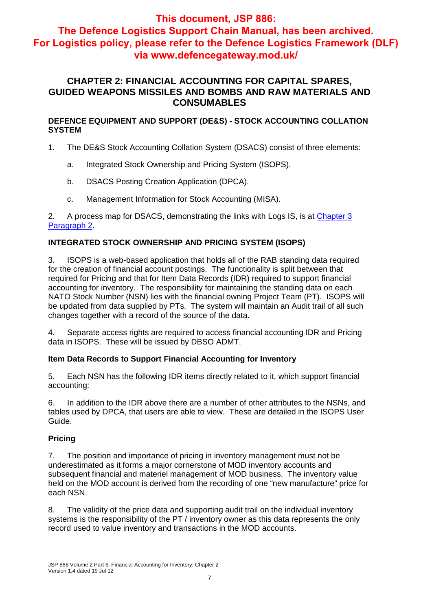## **This document, JSP 886:**

**The Defence Logistics Support Chain Manual, has been archived. For Logistics policy, please refer to the Defence Logistics Framework (DLF) via www.defencegateway.mod.uk/**

## **CHAPTER 2: FINANCIAL ACCOUNTING FOR CAPITAL SPARES, GUIDED WEAPONS MISSILES AND BOMBS AND RAW MATERIALS AND CONSUMABLES**

**DEFENCE EQUIPMENT AND SUPPORT (DE&S) - STOCK ACCOUNTING COLLATION SYSTEM**

- 1. The DE&S Stock Accounting Collation System (DSACS) consist of three elements:
	- a. Integrated Stock Ownership and Pricing System (ISOPS).
	- b. DSACS Posting Creation Application (DPCA).
	- c. Management Information for Stock Accounting (MISA).

2. A process map for DSACS, demonstrating the links with Logs IS, is at Chapter 3 Paragraph 2.

## **INTEGRATED STOCK OWNERSHIP AND PRICING SYSTEM (ISOPS)**

3. ISOPS is a web-based application that holds all of the RAB standing data required for the creation of financial account postings. The functionality is split between that required for Pricing and that for Item Data Records (IDR) required to support financial accounting for inventory. The responsibility for maintaining the standing data on each NATO Stock Number (NSN) lies with the financial owning Project Team (PT). ISOPS will be updated from data supplied by PTs. The system will maintain an Audit trail of all such changes together with a record of the source of the data.

4. Separate access rights are required to access financial accounting IDR and Pricing data in ISOPS. These will be issued by DBSO ADMT.

## **Item Data Records to Support Financial Accounting for Inventory**

5. Each NSN has the following IDR items directly related to it, which support financial accounting:

6. In addition to the IDR above there are a number of other attributes to the NSNs, and tables used by DPCA, that users are able to view. These are detailed in the ISOPS User Guide.

## **Pricing**

7. The position and importance of pricing in inventory management must not be underestimated as it forms a major cornerstone of MOD inventory accounts and subsequent financial and materiel management of MOD business. The inventory value held on the MOD account is derived from the recording of one "new manufacture" price for each NSN.

8. The validity of the price data and supporting audit trail on the individual inventory systems is the responsibility of the PT / inventory owner as this data represents the only record used to value inventory and transactions in the MOD accounts.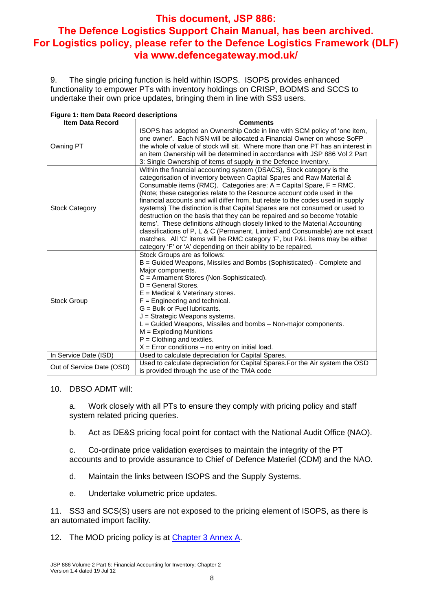9. The single pricing function is held within ISOPS. ISOPS provides enhanced functionality to empower PTs with inventory holdings on CRISP, BODMS and SCCS to undertake their own price updates, bringing them in line with SS3 users.

| Figure 1: Item Data Record descriptions |                                                                                                                                                                                                                                                                                                                                                                                                                                                                                                                                                                                                                                                                                                                                                                                                                                                                         |  |  |  |  |
|-----------------------------------------|-------------------------------------------------------------------------------------------------------------------------------------------------------------------------------------------------------------------------------------------------------------------------------------------------------------------------------------------------------------------------------------------------------------------------------------------------------------------------------------------------------------------------------------------------------------------------------------------------------------------------------------------------------------------------------------------------------------------------------------------------------------------------------------------------------------------------------------------------------------------------|--|--|--|--|
| <b>Item Data Record</b>                 | <b>Comments</b>                                                                                                                                                                                                                                                                                                                                                                                                                                                                                                                                                                                                                                                                                                                                                                                                                                                         |  |  |  |  |
| Owning PT                               | ISOPS has adopted an Ownership Code in line with SCM policy of 'one item,<br>one owner'. Each NSN will be allocated a Financial Owner on whose SoFP<br>the whole of value of stock will sit. Where more than one PT has an interest in<br>an item Ownership will be determined in accordance with JSP 886 Vol 2 Part<br>3: Single Ownership of items of supply in the Defence Inventory.                                                                                                                                                                                                                                                                                                                                                                                                                                                                                |  |  |  |  |
| <b>Stock Category</b>                   | Within the financial accounting system (DSACS), Stock category is the<br>categorisation of inventory between Capital Spares and Raw Material &<br>Consumable items (RMC). Categories are: $A =$ Capital Spare, $F = RMC$ .<br>(Note; these categories relate to the Resource account code used in the<br>financial accounts and will differ from, but relate to the codes used in supply<br>systems) The distinction is that Capital Spares are not consumed or used to<br>destruction on the basis that they can be repaired and so become 'rotable<br>items'. These definitions although closely linked to the Material Accounting<br>classifications of P, L & C (Permanent, Limited and Consumable) are not exact<br>matches. All 'C' items will be RMC category 'F', but P&L items may be either<br>category 'F' or 'A' depending on their ability to be repaired. |  |  |  |  |
| <b>Stock Group</b>                      | Stock Groups are as follows:<br>B = Guided Weapons, Missiles and Bombs (Sophisticated) - Complete and<br>Major components.<br>C = Armament Stores (Non-Sophisticated).<br>$D =$ General Stores.<br>$E =$ Medical & Veterinary stores.<br>$F =$ Engineering and technical.<br>$G =$ Bulk or Fuel lubricants.<br>$J =$ Strategic Weapons systems.<br>L = Guided Weapons, Missiles and bombs - Non-major components.<br>$M =$ Exploding Munitions<br>$P =$ Clothing and textiles.<br>$X =$ Error conditions – no entry on initial load.                                                                                                                                                                                                                                                                                                                                    |  |  |  |  |
| In Service Date (ISD)                   | Used to calculate depreciation for Capital Spares.                                                                                                                                                                                                                                                                                                                                                                                                                                                                                                                                                                                                                                                                                                                                                                                                                      |  |  |  |  |
| Out of Service Date (OSD)               | Used to calculate depreciation for Capital Spares. For the Air system the OSD<br>is provided through the use of the TMA code                                                                                                                                                                                                                                                                                                                                                                                                                                                                                                                                                                                                                                                                                                                                            |  |  |  |  |

### 10. DBSO ADMT will:

a. Work closely with all PTs to ensure they comply with pricing policy and staff system related pricing queries.

b. Act as DE&S pricing focal point for contact with the National Audit Office (NAO).

c. Co-ordinate price validation exercises to maintain the integrity of the PT accounts and to provide assurance to Chief of Defence Materiel (CDM) and the NAO.

- d. Maintain the links between ISOPS and the Supply Systems.
- e. Undertake volumetric price updates.

11. SS3 and SCS(S) users are not exposed to the pricing element of ISOPS, as there is an automated import facility.

12. The MOD pricing policy is at **Chapter 3 Annex A.**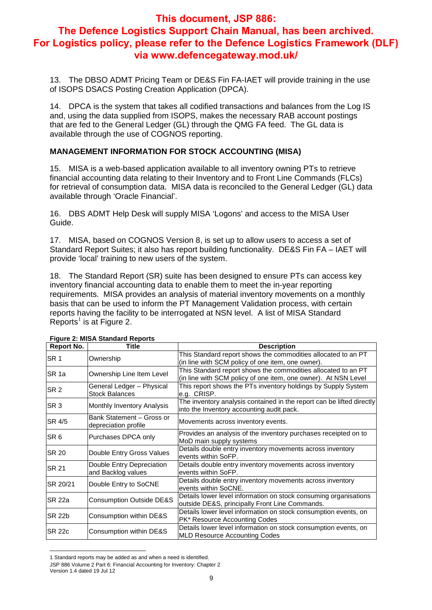13. The DBSO ADMT Pricing Team or DE&S Fin FA-IAET will provide training in the use of ISOPS DSACS Posting Creation Application (DPCA).

14. DPCA is the system that takes all codified transactions and balances from the Log IS and, using the data supplied from ISOPS, makes the necessary RAB account postings that are fed to the General Ledger (GL) through the QMG FA feed. The GL data is available through the use of COGNOS reporting.

## **MANAGEMENT INFORMATION FOR STOCK ACCOUNTING (MISA)**

15. MISA is a web-based application available to all inventory owning PTs to retrieve financial accounting data relating to their Inventory and to Front Line Commands (FLCs) for retrieval of consumption data. MISA data is reconciled to the General Ledger (GL) data available through 'Oracle Financial'.

16. DBS ADMT Help Desk will supply MISA 'Logons' and access to the MISA User Guide.

17. MISA, based on COGNOS Version 8, is set up to allow users to access a set of Standard Report Suites; it also has report building functionality. DE&S Fin FA – IAET will provide 'local' training to new users of the system.

18. The Standard Report (SR) suite has been designed to ensure PTs can access key inventory financial accounting data to enable them to meet the in-year reporting requirements. MISA provides an analysis of material inventory movements on a monthly basis that can be used to inform the PT Management Validation process, with certain reports having the facility to be interrogated at NSN level. A list of MISA Standard Reports<sup>1</sup> is at Figure 2.

| <b>Report No.</b> | <b>Title</b>                                       | <b>Description</b>                                                                                                              |  |  |
|-------------------|----------------------------------------------------|---------------------------------------------------------------------------------------------------------------------------------|--|--|
| SR <sub>1</sub>   | Ownership                                          | This Standard report shows the commodities allocated to an PT<br>(in line with SCM policy of one item, one owner).              |  |  |
| SR <sub>1a</sub>  | Ownership Line Item Level                          | This Standard report shows the commodities allocated to an PT<br>(in line with SCM policy of one item, one owner). At NSN Level |  |  |
| SR <sub>2</sub>   | General Ledger - Physical<br><b>Stock Balances</b> | This report shows the PTs inventory holdings by Supply System<br>e.g. CRISP.                                                    |  |  |
| SR <sub>3</sub>   | Monthly Inventory Analysis                         | The inventory analysis contained in the report can be lifted directly<br>into the Inventory accounting audit pack.              |  |  |
| SR 4/5            | Bank Statement - Gross or<br>depreciation profile  | Movements across inventory events.                                                                                              |  |  |
| SR <sub>6</sub>   | Purchases DPCA only                                | Provides an analysis of the inventory purchases receipted on to<br>MoD main supply systems                                      |  |  |
| <b>SR 20</b>      | Double Entry Gross Values                          | Details double entry inventory movements across inventory<br>events within SoFP.                                                |  |  |
| <b>SR 21</b>      | Double Entry Depreciation<br>and Backlog values    | Details double entry inventory movements across inventory<br>events within SoFP.                                                |  |  |
| SR 20/21          | Double Entry to SoCNE                              | Details double entry inventory movements across inventory<br>events within SoCNE.                                               |  |  |
| SR 22a            | <b>Consumption Outside DE&amp;S</b>                | Details lower level information on stock consuming organisations<br>outside DE&S, principally Front Line Commands.              |  |  |
| <b>SR 22b</b>     | Consumption within DE&S                            | Details lower level information on stock consumption events, on<br>PK* Resource Accounting Codes                                |  |  |
| <b>SR 22c</b>     | Consumption within DE&S                            | Details lower level information on stock consumption events, on<br><b>MLD Resource Accounting Codes</b>                         |  |  |

#### **Figure 2: MISA Standard Reports**

<sup>-</sup>1 Standard reports may be added as and when a need is identified.

JSP 886 Volume 2 Part 6: Financial Accounting for Inventory: Chapter 2

Version 1.4 dated 19 Jul 12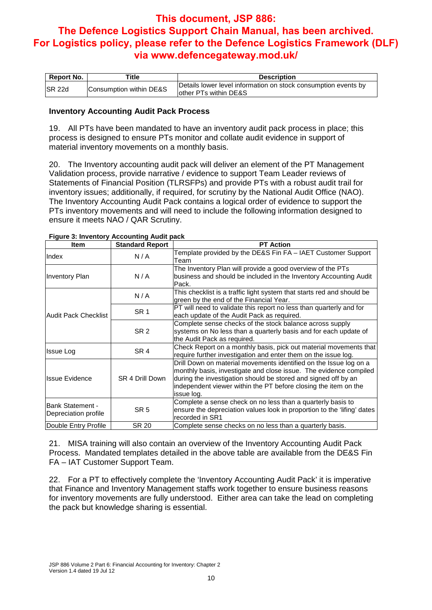| <b>Report No.</b> | ™itle                   | <b>Description</b>                                                                       |  |
|-------------------|-------------------------|------------------------------------------------------------------------------------------|--|
| ISR 22d           | Consumption within DE&S | Details lower level information on stock consumption events by<br>lother PTs within DE&S |  |

#### **Inventory Accounting Audit Pack Process**

19. All PTs have been mandated to have an inventory audit pack process in place; this process is designed to ensure PTs monitor and collate audit evidence in support of material inventory movements on a monthly basis.

20. The Inventory accounting audit pack will deliver an element of the PT Management Validation process, provide narrative / evidence to support Team Leader reviews of Statements of Financial Position (TLRSFPs) and provide PTs with a robust audit trail for inventory issues; additionally, if required, for scrutiny by the National Audit Office (NAO). The Inventory Accounting Audit Pack contains a logical order of evidence to support the PTs inventory movements and will need to include the following information designed to ensure it meets NAO / QAR Scrutiny.

| <b>Item</b>                                      | <b>Standard Report</b> | <b>PT Action</b>                                                                                                                                                                                                                                                                          |  |  |
|--------------------------------------------------|------------------------|-------------------------------------------------------------------------------------------------------------------------------------------------------------------------------------------------------------------------------------------------------------------------------------------|--|--|
| Index                                            | N/A                    | Template provided by the DE&S Fin FA - IAET Customer Support<br>Team                                                                                                                                                                                                                      |  |  |
| <b>Inventory Plan</b>                            | N/A                    | The Inventory Plan will provide a good overview of the PTs<br>business and should be included in the Inventory Accounting Audit<br>Pack.                                                                                                                                                  |  |  |
|                                                  | N/A                    | This checklist is a traffic light system that starts red and should be<br>green by the end of the Financial Year.                                                                                                                                                                         |  |  |
| lAudit Pack Checklist                            | SR <sub>1</sub>        | PT will need to validate this report no less than quarterly and for<br>each update of the Audit Pack as required.                                                                                                                                                                         |  |  |
|                                                  | SR <sub>2</sub>        | Complete sense checks of the stock balance across supply<br>systems on No less than a quarterly basis and for each update of<br>the Audit Pack as required.                                                                                                                               |  |  |
| Issue Log                                        | SR <sub>4</sub>        | Check Report on a monthly basis, pick out material movements that<br>require further investigation and enter them on the issue log.                                                                                                                                                       |  |  |
| IIssue Evidence                                  | SR 4 Drill Down        | Drill Down on material movements identified on the Issue log on a<br>monthly basis, investigate and close issue. The evidence compiled<br>during the investigation should be stored and signed off by an<br>independent viewer within the PT before closing the item on the<br>issue log. |  |  |
| <b>IBank Statement -</b><br>Depreciation profile | SR 5                   | Complete a sense check on no less than a quarterly basis to<br>ensure the depreciation values look in proportion to the 'lifing' dates<br>recorded in SR1                                                                                                                                 |  |  |
| Double Entry Profile                             | <b>SR 20</b>           | Complete sense checks on no less than a quarterly basis.                                                                                                                                                                                                                                  |  |  |

#### **Figure 3: Inventory Accounting Audit pack**

21. MISA training will also contain an overview of the Inventory Accounting Audit Pack Process. Mandated templates detailed in the above table are available from the DE&S Fin FA – IAT Customer Support Team.

22. For a PT to effectively complete the 'Inventory Accounting Audit Pack' it is imperative that Finance and Inventory Management staffs work together to ensure business reasons for inventory movements are fully understood. Either area can take the lead on completing the pack but knowledge sharing is essential.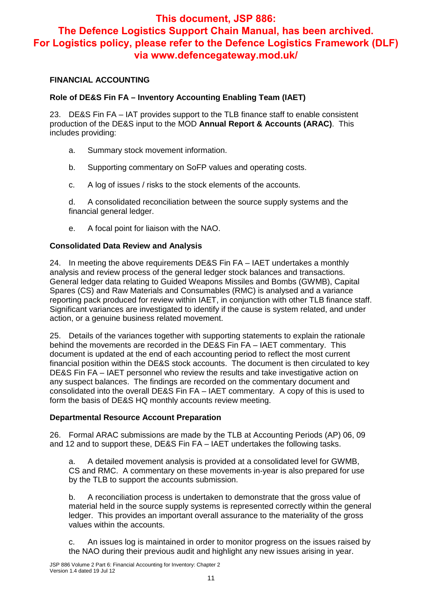## **FINANCIAL ACCOUNTING**

## **Role of DE&S Fin FA – Inventory Accounting Enabling Team (IAET)**

23. DE&S Fin FA – IAT provides support to the TLB finance staff to enable consistent production of the DE&S input to the MOD **Annual Report & Accounts (ARAC)**. This includes providing:

- a. Summary stock movement information.
- b. Supporting commentary on SoFP values and operating costs.
- c. A log of issues / risks to the stock elements of the accounts.

d. A consolidated reconciliation between the source supply systems and the financial general ledger.

e. A focal point for liaison with the NAO.

### **Consolidated Data Review and Analysis**

24. In meeting the above requirements DE&S Fin FA – IAET undertakes a monthly analysis and review process of the general ledger stock balances and transactions. General ledger data relating to Guided Weapons Missiles and Bombs (GWMB), Capital Spares (CS) and Raw Materials and Consumables (RMC) is analysed and a variance reporting pack produced for review within IAET, in conjunction with other TLB finance staff. Significant variances are investigated to identify if the cause is system related, and under action, or a genuine business related movement.

25. Details of the variances together with supporting statements to explain the rationale behind the movements are recorded in the DE&S Fin FA – IAET commentary. This document is updated at the end of each accounting period to reflect the most current financial position within the DE&S stock accounts. The document is then circulated to key DE&S Fin FA – IAET personnel who review the results and take investigative action on any suspect balances. The findings are recorded on the commentary document and consolidated into the overall DE&S Fin FA – IAET commentary. A copy of this is used to form the basis of DE&S HQ monthly accounts review meeting.

#### **Departmental Resource Account Preparation**

26. Formal ARAC submissions are made by the TLB at Accounting Periods (AP) 06, 09 and 12 and to support these, DE&S Fin FA – IAET undertakes the following tasks.

a. A detailed movement analysis is provided at a consolidated level for GWMB, CS and RMC. A commentary on these movements in-year is also prepared for use by the TLB to support the accounts submission.

b. A reconciliation process is undertaken to demonstrate that the gross value of material held in the source supply systems is represented correctly within the general ledger. This provides an important overall assurance to the materiality of the gross values within the accounts.

c. An issues log is maintained in order to monitor progress on the issues raised by the NAO during their previous audit and highlight any new issues arising in year.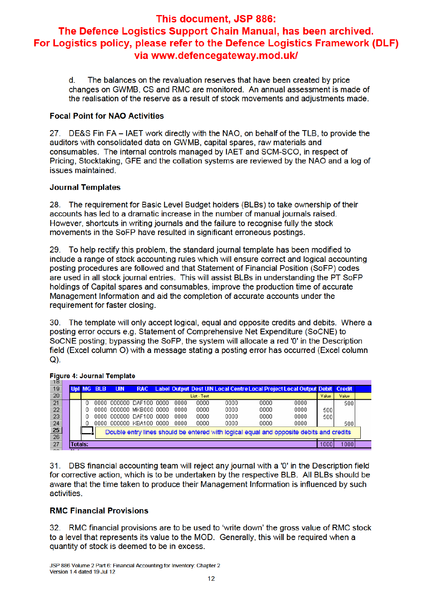The balances on the revaluation reserves that have been created by price  $d_{-}$ changes on GWMB, CS and RMC are monitored. An annual assessment is made of the realisation of the reserve as a result of stock movements and adjustments made.

## **Focal Point for NAO Activities**

27. DE&S Fin FA - IAET work directly with the NAO, on behalf of the TLB, to provide the auditors with consolidated data on GWMB, capital spares, raw materials and consumables. The internal controls managed by IAET and SCM-SCO, in respect of Pricing, Stocktaking, GFE and the collation systems are reviewed by the NAO and a log of issues maintained.

## **Journal Templates**

28. The requirement for Basic Level Budget holders (BLBs) to take ownership of their accounts has led to a dramatic increase in the number of manual journals raised. However, shortcuts in writing journals and the failure to recognise fully the stock movements in the SoFP have resulted in significant erroneous postings.

29. To help rectify this problem, the standard journal template has been modified to include a range of stock accounting rules which will ensure correct and logical accounting posting procedures are followed and that Statement of Financial Position (SoFP) codes are used in all stock journal entries. This will assist BLBs in understanding the PT SoFP holdings of Capital spares and consumables, improve the production time of accurate Management Information and aid the completion of accurate accounts under the requirement for faster closing.

30. The template will only accept logical, equal and opposite credits and debits. Where a posting error occurs e.g. Statement of Comprehensive Net Expenditure (SoCNE) to SoCNE posting; bypassing the SoFP, the system will allocate a red '0' in the Description field (Excel column O) with a message stating a posting error has occurred (Excel column  $Q$ ).

| 18              |         |            |            |                         |      |             |                                                                                         |      |      |       |       |  |
|-----------------|---------|------------|------------|-------------------------|------|-------------|-----------------------------------------------------------------------------------------|------|------|-------|-------|--|
| 19              |         | Upl MG BLB | <b>UIN</b> | <b>RAC</b>              |      |             | Label Output Dest UIN Local Centre Local Project Local Output Debit Credit              |      |      |       |       |  |
| 20              |         |            |            |                         |      | List - Text |                                                                                         |      |      | Value | Value |  |
| 21              |         |            |            | 0000 000000 DAF100 0000 | 0000 | 0000        | 0000                                                                                    | 0000 | 0000 |       | 500   |  |
| 22              |         |            |            | 0000 000000 MKB000 0000 | 0000 | 0000        | 0000                                                                                    | 0000 | 0000 | 500   |       |  |
| 23              |         |            |            | 0000 000000 DAF100 0000 | 0000 | 0000        | 0000                                                                                    | 0000 | 0000 | 500   |       |  |
| 24              |         |            |            | 0000 000000 KBA100 0000 | 0000 | 0000        | 0000                                                                                    | 0000 | 0000 |       | 500   |  |
| $\frac{25}{26}$ |         |            |            |                         |      |             | Double entry lines should be entered with logical equal and opposite debits and credits |      |      |       |       |  |
|                 |         |            |            |                         |      |             |                                                                                         |      |      |       |       |  |
| 27              | Totals: |            |            |                         |      |             |                                                                                         |      |      | 1000  | 1000  |  |
| $\sim$ $\sim$   | . .     |            |            |                         |      |             |                                                                                         |      |      |       |       |  |

### **Figure 4: Journal Template**

31. DBS financial accounting team will reject any journal with a '0' in the Description field for corrective action, which is to be undertaken by the respective BLB. All BLBs should be aware that the time taken to produce their Management Information is influenced by such activities.

## **RMC Financial Provisions**

32. RMC financial provisions are to be used to 'write down' the gross value of RMC stock to a level that represents its value to the MOD. Generally, this will be required when a quantity of stock is deemed to be in excess.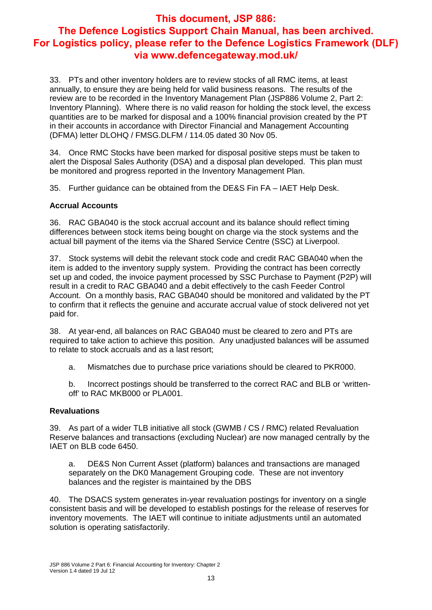33. PTs and other inventory holders are to review stocks of all RMC items, at least annually, to ensure they are being held for valid business reasons. The results of the review are to be recorded in the Inventory Management Plan (JSP886 Volume 2, Part 2: Inventory Planning). Where there is no valid reason for holding the stock level, the excess quantities are to be marked for disposal and a 100% financial provision created by the PT in their accounts in accordance with Director Financial and Management Accounting (DFMA) letter DLOHQ / FMSG.DLFM / 114.05 dated 30 Nov 05.

34. Once RMC Stocks have been marked for disposal positive steps must be taken to alert the Disposal Sales Authority (DSA) and a disposal plan developed. This plan must be monitored and progress reported in the Inventory Management Plan.

35. Further guidance can be obtained from the DE&S Fin FA – IAET Help Desk.

## **Accrual Accounts**

36. RAC GBA040 is the stock accrual account and its balance should reflect timing differences between stock items being bought on charge via the stock systems and the actual bill payment of the items via the Shared Service Centre (SSC) at Liverpool.

37. Stock systems will debit the relevant stock code and credit RAC GBA040 when the item is added to the inventory supply system. Providing the contract has been correctly set up and coded, the invoice payment processed by SSC Purchase to Payment (P2P) will result in a credit to RAC GBA040 and a debit effectively to the cash Feeder Control Account. On a monthly basis, RAC GBA040 should be monitored and validated by the PT to confirm that it reflects the genuine and accurate accrual value of stock delivered not yet paid for.

38. At year-end, all balances on RAC GBA040 must be cleared to zero and PTs are required to take action to achieve this position. Any unadjusted balances will be assumed to relate to stock accruals and as a last resort;

a. Mismatches due to purchase price variations should be cleared to PKR000.

b. Incorrect postings should be transferred to the correct RAC and BLB or 'writtenoff' to RAC MKB000 or PLA001.

### **Revaluations**

39. As part of a wider TLB initiative all stock (GWMB / CS / RMC) related Revaluation Reserve balances and transactions (excluding Nuclear) are now managed centrally by the IAET on BLB code 6450.

a. DE&S Non Current Asset (platform) balances and transactions are managed separately on the DK0 Management Grouping code. These are not inventory balances and the register is maintained by the DBS

40. The DSACS system generates in-year revaluation postings for inventory on a single consistent basis and will be developed to establish postings for the release of reserves for inventory movements. The IAET will continue to initiate adjustments until an automated solution is operating satisfactorily.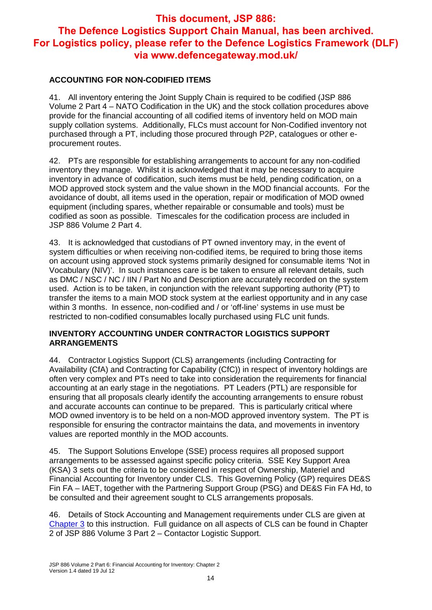## **ACCOUNTING FOR NON-CODIFIED ITEMS**

41. All inventory entering the Joint Supply Chain is required to be codified (JSP 886 Volume 2 Part 4 – NATO Codification in the UK) and the stock collation procedures above provide for the financial accounting of all codified items of inventory held on MOD main supply collation systems. Additionally, FLCs must account for Non-Codified inventory not purchased through a PT, including those procured through P2P, catalogues or other eprocurement routes.

42. PTs are responsible for establishing arrangements to account for any non-codified inventory they manage. Whilst it is acknowledged that it may be necessary to acquire inventory in advance of codification, such items must be held, pending codification, on a MOD approved stock system and the value shown in the MOD financial accounts. For the avoidance of doubt, all items used in the operation, repair or modification of MOD owned equipment (including spares, whether repairable or consumable and tools) must be codified as soon as possible. Timescales for the codification process are included in JSP 886 Volume 2 Part 4.

43. It is acknowledged that custodians of PT owned inventory may, in the event of system difficulties or when receiving non-codified items, be required to bring those items on account using approved stock systems primarily designed for consumable items 'Not in Vocabulary (NIV)'. In such instances care is be taken to ensure all relevant details, such as DMC / NSC / NC / IIN / Part No and Description are accurately recorded on the system used. Action is to be taken, in conjunction with the relevant supporting authority (PT) to transfer the items to a main MOD stock system at the earliest opportunity and in any case within 3 months. In essence, non-codified and / or 'off-line' systems in use must be restricted to non-codified consumables locally purchased using FLC unit funds.

### **INVENTORY ACCOUNTING UNDER CONTRACTOR LOGISTICS SUPPORT ARRANGEMENTS**

44. Contractor Logistics Support (CLS) arrangements (including Contracting for Availability (CfA) and Contracting for Capability (CfC)) in respect of inventory holdings are often very complex and PTs need to take into consideration the requirements for financial accounting at an early stage in the negotiations. PT Leaders (PTL) are responsible for ensuring that all proposals clearly identify the accounting arrangements to ensure robust and accurate accounts can continue to be prepared. This is particularly critical where MOD owned inventory is to be held on a non-MOD approved inventory system. The PT is responsible for ensuring the contractor maintains the data, and movements in inventory values are reported monthly in the MOD accounts.

45. The Support Solutions Envelope (SSE) process requires all proposed support arrangements to be assessed against specific policy criteria. SSE Key Support Area (KSA) 3 sets out the criteria to be considered in respect of Ownership, Materiel and Financial Accounting for Inventory under CLS. This Governing Policy (GP) requires DE&S Fin FA – IAET, together with the Partnering Support Group (PSG) and DE&S Fin FA Hd, to be consulted and their agreement sought to CLS arrangements proposals.

46. Details of Stock Accounting and Management requirements under CLS are given at Chapter 3 to this instruction. Full guidance on all aspects of CLS can be found in Chapter 2 of JSP 886 Volume 3 Part 2 – Contactor Logistic Support.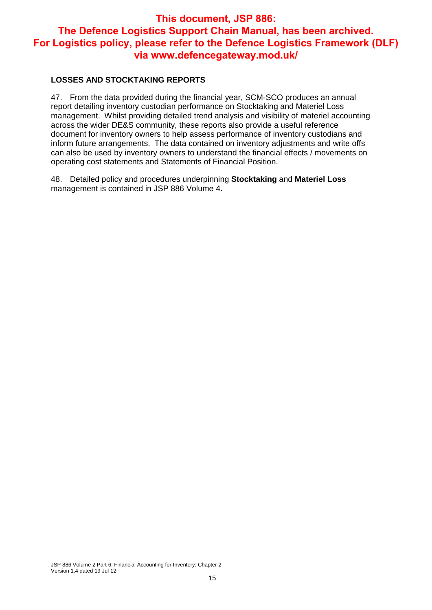## **LOSSES AND STOCKTAKING REPORTS**

47. From the data provided during the financial year, SCM-SCO produces an annual report detailing inventory custodian performance on Stocktaking and Materiel Loss management. Whilst providing detailed trend analysis and visibility of materiel accounting across the wider DE&S community, these reports also provide a useful reference document for inventory owners to help assess performance of inventory custodians and inform future arrangements. The data contained on inventory adjustments and write offs can also be used by inventory owners to understand the financial effects / movements on operating cost statements and Statements of Financial Position.

48. Detailed policy and procedures underpinning **Stocktaking** and **Materiel Loss** management is contained in JSP 886 Volume 4.

JSP 886 Volume 2 Part 6: Financial Accounting for Inventory: Chapter 2 Version 1.4 dated 19 Jul 12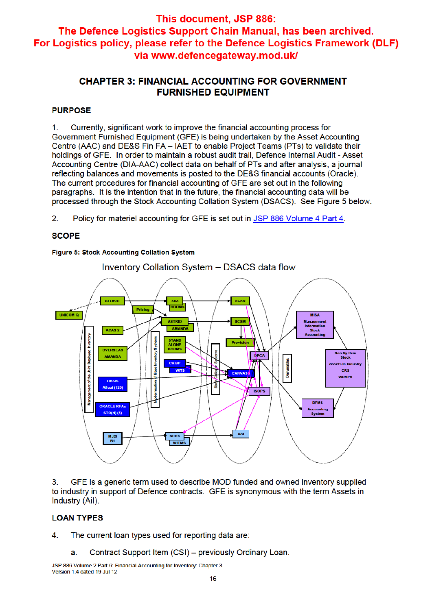## **CHAPTER 3: FINANCIAL ACCOUNTING FOR GOVERNMENT FURNISHED EQUIPMENT**

## **PURPOSE**

Currently, significant work to improve the financial accounting process for  $1.$ Government Furnished Equipment (GFE) is being undertaken by the Asset Accounting Centre (AAC) and DE&S Fin FA - IAET to enable Project Teams (PTs) to validate their holdings of GFE. In order to maintain a robust audit trail, Defence Internal Audit - Asset Accounting Centre (DIA-AAC) collect data on behalf of PTs and after analysis, a journal reflecting balances and movements is posted to the DE&S financial accounts (Oracle). The current procedures for financial accounting of GFE are set out in the following paragraphs. It is the intention that in the future, the financial accounting data will be processed through the Stock Accounting Collation System (DSACS). See Figure 5 below.

 $2.$ Policy for materiel accounting for GFE is set out in JSP 886 Volume 4 Part 4.

## **SCOPE**

## Figure 5: Stock Accounting Collation System



GFE is a generic term used to describe MOD funded and owned inventory supplied  $3<sub>1</sub>$ to industry in support of Defence contracts. GFE is synonymous with the term Assets in Industry (Ail).

## **LOAN TYPES**

4. The current loan types used for reporting data are:

Contract Support Item (CSI) - previously Ordinary Loan. a.

JSP 886 Volume 2 Part 6: Financial Accounting for Inventory: Chapter 3 Version 1.4 dated 19 Jul 12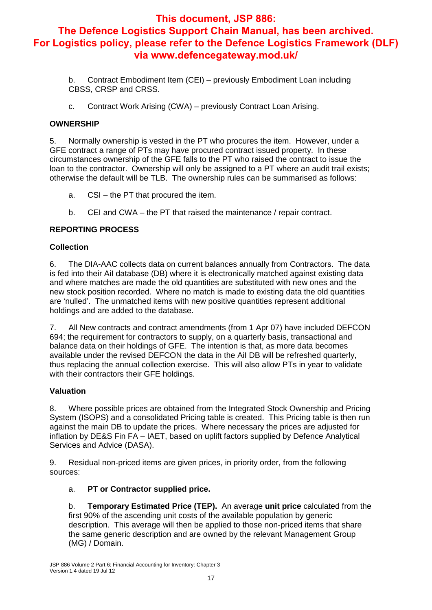b. Contract Embodiment Item (CEI) – previously Embodiment Loan including CBSS, CRSP and CRSS.

c. Contract Work Arising (CWA) – previously Contract Loan Arising.

## **OWNERSHIP**

5. Normally ownership is vested in the PT who procures the item. However, under a GFE contract a range of PTs may have procured contract issued property. In these circumstances ownership of the GFE falls to the PT who raised the contract to issue the loan to the contractor. Ownership will only be assigned to a PT where an audit trail exists; otherwise the default will be TLB. The ownership rules can be summarised as follows:

- a. CSI the PT that procured the item.
- b. CEI and CWA the PT that raised the maintenance / repair contract.

## **REPORTING PROCESS**

## **Collection**

6. The DIA-AAC collects data on current balances annually from Contractors. The data is fed into their AiI database (DB) where it is electronically matched against existing data and where matches are made the old quantities are substituted with new ones and the new stock position recorded. Where no match is made to existing data the old quantities are 'nulled'. The unmatched items with new positive quantities represent additional holdings and are added to the database.

7. All New contracts and contract amendments (from 1 Apr 07) have included DEFCON 694; the requirement for contractors to supply, on a quarterly basis, transactional and balance data on their holdings of GFE. The intention is that, as more data becomes available under the revised DEFCON the data in the AiI DB will be refreshed quarterly, thus replacing the annual collection exercise. This will also allow PTs in year to validate with their contractors their GFE holdings.

### **Valuation**

8. Where possible prices are obtained from the Integrated Stock Ownership and Pricing System (ISOPS) and a consolidated Pricing table is created. This Pricing table is then run against the main DB to update the prices. Where necessary the prices are adjusted for inflation by DE&S Fin FA – IAET, based on uplift factors supplied by Defence Analytical Services and Advice (DASA).

9. Residual non-priced items are given prices, in priority order, from the following sources:

## a. **PT or Contractor supplied price.**

b. **Temporary Estimated Price (TEP).** An average **unit price** calculated from the first 90% of the ascending unit costs of the available population by generic description. This average will then be applied to those non-priced items that share the same generic description and are owned by the relevant Management Group (MG) / Domain.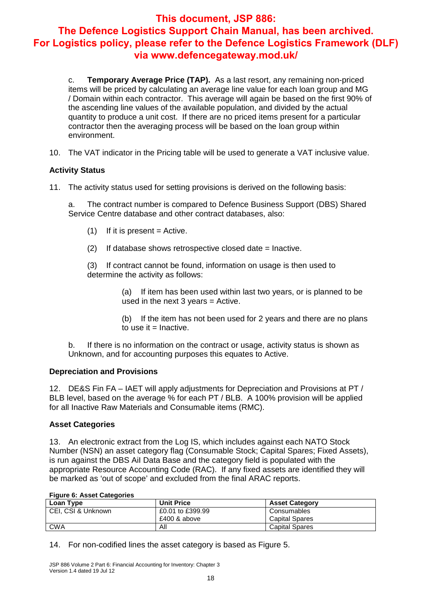c. **Temporary Average Price (TAP).** As a last resort, any remaining non-priced items will be priced by calculating an average line value for each loan group and MG / Domain within each contractor. This average will again be based on the first 90% of the ascending line values of the available population, and divided by the actual quantity to produce a unit cost. If there are no priced items present for a particular contractor then the averaging process will be based on the loan group within environment.

10. The VAT indicator in the Pricing table will be used to generate a VAT inclusive value.

## **Activity Status**

11. The activity status used for setting provisions is derived on the following basis:

a. The contract number is compared to Defence Business Support (DBS) Shared Service Centre database and other contract databases, also:

- $(1)$  If it is present = Active.
- (2) If database shows retrospective closed date = Inactive.

(3) If contract cannot be found, information on usage is then used to determine the activity as follows:

> (a) If item has been used within last two years, or is planned to be used in the next  $3$  years = Active.

(b) If the item has not been used for 2 years and there are no plans to use it  $=$  Inactive.

b. If there is no information on the contract or usage, activity status is shown as Unknown, and for accounting purposes this equates to Active.

### **Depreciation and Provisions**

12. DE&S Fin FA – IAET will apply adjustments for Depreciation and Provisions at PT / BLB level, based on the average % for each PT / BLB. A 100% provision will be applied for all Inactive Raw Materials and Consumable items (RMC).

### **Asset Categories**

13. An electronic extract from the Log IS, which includes against each NATO Stock Number (NSN) an asset category flag (Consumable Stock; Capital Spares; Fixed Assets), is run against the DBS AiI Data Base and the category field is populated with the appropriate Resource Accounting Code (RAC). If any fixed assets are identified they will be marked as 'out of scope' and excluded from the final ARAC reports.

#### **Figure 6: Asset Categories**

| Loan Type          | <b>Unit Price</b> | <b>Asset Category</b> |  |  |
|--------------------|-------------------|-----------------------|--|--|
| CEI, CSI & Unknown | £0.01 to £399.99  | Consumables           |  |  |
|                    | £400 & above      | <b>Capital Spares</b> |  |  |
| CWA                | All               | <b>Capital Spares</b> |  |  |

14. For non-codified lines the asset category is based as Figure 5.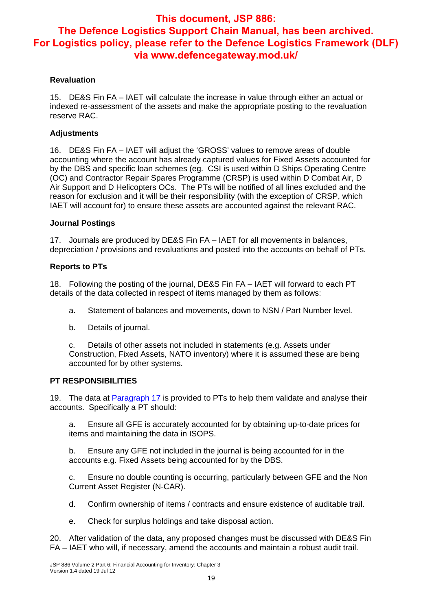### **Revaluation**

15. DE&S Fin FA – IAET will calculate the increase in value through either an actual or indexed re-assessment of the assets and make the appropriate posting to the revaluation reserve RAC.

## **Adjustments**

16. DE&S Fin FA – IAET will adjust the 'GROSS' values to remove areas of double accounting where the account has already captured values for Fixed Assets accounted for by the DBS and specific loan schemes (eg. CSI is used within D Ships Operating Centre (OC) and Contractor Repair Spares Programme (CRSP) is used within D Combat Air, D Air Support and D Helicopters OCs. The PTs will be notified of all lines excluded and the reason for exclusion and it will be their responsibility (with the exception of CRSP, which IAET will account for) to ensure these assets are accounted against the relevant RAC.

### **Journal Postings**

17. Journals are produced by DE&S Fin FA – IAET for all movements in balances, depreciation / provisions and revaluations and posted into the accounts on behalf of PTs.

### **Reports to PTs**

18. Following the posting of the journal, DE&S Fin FA – IAET will forward to each PT details of the data collected in respect of items managed by them as follows:

- a. Statement of balances and movements, down to NSN / Part Number level.
- b. Details of journal.

c. Details of other assets not included in statements (e.g. Assets under Construction, Fixed Assets, NATO inventory) where it is assumed these are being accounted for by other systems.

### **PT RESPONSIBILITIES**

19. The data at Paragraph 17 is provided to PTs to help them validate and analyse their accounts. Specifically a PT should:

a. Ensure all GFE is accurately accounted for by obtaining up-to-date prices for items and maintaining the data in ISOPS.

b. Ensure any GFE not included in the journal is being accounted for in the accounts e.g. Fixed Assets being accounted for by the DBS.

c. Ensure no double counting is occurring, particularly between GFE and the Non Current Asset Register (N-CAR).

- d. Confirm ownership of items / contracts and ensure existence of auditable trail.
- e. Check for surplus holdings and take disposal action.

20. After validation of the data, any proposed changes must be discussed with DE&S Fin FA – IAET who will, if necessary, amend the accounts and maintain a robust audit trail.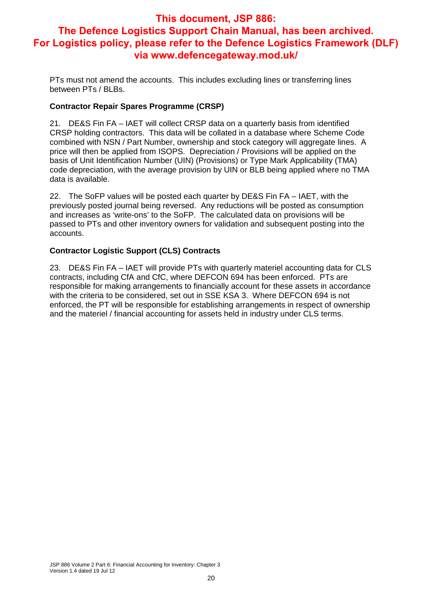PTs must not amend the accounts. This includes excluding lines or transferring lines between PTs / BLBs.

### **Contractor Repair Spares Programme (CRSP)**

21. DE&S Fin FA – IAET will collect CRSP data on a quarterly basis from identified CRSP holding contractors. This data will be collated in a database where Scheme Code combined with NSN / Part Number, ownership and stock category will aggregate lines. A price will then be applied from ISOPS. Depreciation / Provisions will be applied on the basis of Unit Identification Number (UIN) (Provisions) or Type Mark Applicability (TMA) code depreciation, with the average provision by UIN or BLB being applied where no TMA data is available.

22. The SoFP values will be posted each quarter by DE&S Fin FA – IAET, with the previously posted journal being reversed. Any reductions will be posted as consumption and increases as 'write-ons' to the SoFP. The calculated data on provisions will be passed to PTs and other inventory owners for validation and subsequent posting into the accounts.

## **Contractor Logistic Support (CLS) Contracts**

23. DE&S Fin FA – IAET will provide PTs with quarterly materiel accounting data for CLS contracts, including CfA and CfC, where DEFCON 694 has been enforced. PTs are responsible for making arrangements to financially account for these assets in accordance with the criteria to be considered, set out in SSE KSA 3. Where DEFCON 694 is not enforced, the PT will be responsible for establishing arrangements in respect of ownership and the materiel / financial accounting for assets held in industry under CLS terms.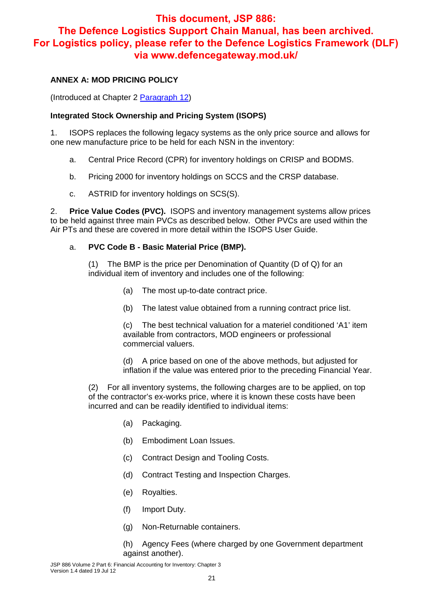## **ANNEX A: MOD PRICING POLICY**

(Introduced at Chapter 2 Paragraph 12)

### **Integrated Stock Ownership and Pricing System (ISOPS)**

1. ISOPS replaces the following legacy systems as the only price source and allows for one new manufacture price to be held for each NSN in the inventory:

- a. Central Price Record (CPR) for inventory holdings on CRISP and BODMS.
- b. Pricing 2000 for inventory holdings on SCCS and the CRSP database.
- c. ASTRID for inventory holdings on SCS(S).

2. **Price Value Codes (PVC).** ISOPS and inventory management systems allow prices to be held against three main PVCs as described below. Other PVCs are used within the Air PTs and these are covered in more detail within the ISOPS User Guide.

## a. **PVC Code B - Basic Material Price (BMP).**

(1) The BMP is the price per Denomination of Quantity (D of Q) for an individual item of inventory and includes one of the following:

- (a) The most up-to-date contract price.
- (b) The latest value obtained from a running contract price list.

(c) The best technical valuation for a materiel conditioned 'A1' item available from contractors, MOD engineers or professional commercial valuers.

(d) A price based on one of the above methods, but adjusted for inflation if the value was entered prior to the preceding Financial Year.

(2) For all inventory systems, the following charges are to be applied, on top of the contractor's ex-works price, where it is known these costs have been incurred and can be readily identified to individual items:

- (a) Packaging.
- (b) Embodiment Loan Issues.
- (c) Contract Design and Tooling Costs.
- (d) Contract Testing and Inspection Charges.
- (e) Royalties.
- (f) Import Duty.
- (g) Non-Returnable containers.

(h) Agency Fees (where charged by one Government department against another).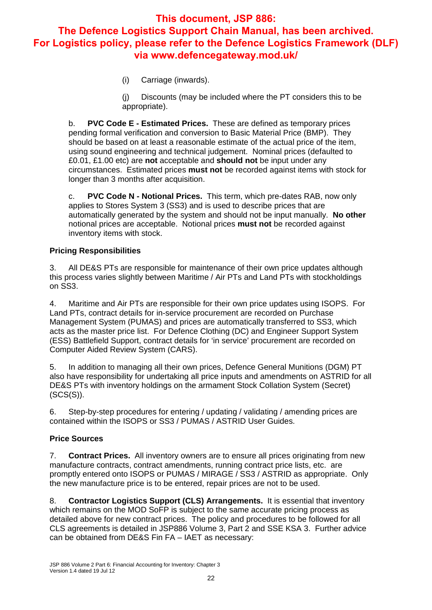(i) Carriage (inwards).

(j) Discounts (may be included where the PT considers this to be appropriate).

b. **PVC Code E - Estimated Prices.** These are defined as temporary prices pending formal verification and conversion to Basic Material Price (BMP). They should be based on at least a reasonable estimate of the actual price of the item, using sound engineering and technical judgement. Nominal prices (defaulted to £0.01, £1.00 etc) are **not** acceptable and **should not** be input under any circumstances. Estimated prices **must not** be recorded against items with stock for longer than 3 months after acquisition.

c. **PVC Code N - Notional Prices.** This term, which pre-dates RAB, now only applies to Stores System 3 (SS3) and is used to describe prices that are automatically generated by the system and should not be input manually. **No other** notional prices are acceptable. Notional prices **must not** be recorded against inventory items with stock.

## **Pricing Responsibilities**

3. All DE&S PTs are responsible for maintenance of their own price updates although this process varies slightly between Maritime / Air PTs and Land PTs with stockholdings on SS3.

4. Maritime and Air PTs are responsible for their own price updates using ISOPS. For Land PTs, contract details for in-service procurement are recorded on Purchase Management System (PUMAS) and prices are automatically transferred to SS3, which acts as the master price list. For Defence Clothing (DC) and Engineer Support System (ESS) Battlefield Support, contract details for 'in service' procurement are recorded on Computer Aided Review System (CARS).

5. In addition to managing all their own prices, Defence General Munitions (DGM) PT also have responsibility for undertaking all price inputs and amendments on ASTRID for all DE&S PTs with inventory holdings on the armament Stock Collation System (Secret) (SCS(S)).

6. Step-by-step procedures for entering / updating / validating / amending prices are contained within the ISOPS or SS3 / PUMAS / ASTRID User Guides.

## **Price Sources**

7. **Contract Prices.** All inventory owners are to ensure all prices originating from new manufacture contracts, contract amendments, running contract price lists, etc. are promptly entered onto ISOPS or PUMAS / MIRAGE / SS3 / ASTRID as appropriate. Only the new manufacture price is to be entered, repair prices are not to be used.

8. **Contractor Logistics Support (CLS) Arrangements.** It is essential that inventory which remains on the MOD SoFP is subject to the same accurate pricing process as detailed above for new contract prices. The policy and procedures to be followed for all CLS agreements is detailed in JSP886 Volume 3, Part 2 and SSE KSA 3. Further advice can be obtained from DE&S Fin FA – IAET as necessary: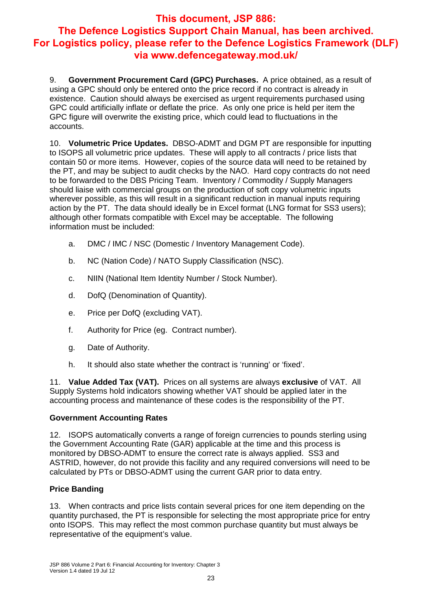9. **Government Procurement Card (GPC) Purchases.** A price obtained, as a result of using a GPC should only be entered onto the price record if no contract is already in existence. Caution should always be exercised as urgent requirements purchased using GPC could artificially inflate or deflate the price. As only one price is held per item the GPC figure will overwrite the existing price, which could lead to fluctuations in the accounts.

10. **Volumetric Price Updates.** DBSO-ADMT and DGM PT are responsible for inputting to ISOPS all volumetric price updates. These will apply to all contracts / price lists that contain 50 or more items. However, copies of the source data will need to be retained by the PT, and may be subject to audit checks by the NAO. Hard copy contracts do not need to be forwarded to the DBS Pricing Team. Inventory / Commodity / Supply Managers should liaise with commercial groups on the production of soft copy volumetric inputs wherever possible, as this will result in a significant reduction in manual inputs requiring action by the PT. The data should ideally be in Excel format (LNG format for SS3 users); although other formats compatible with Excel may be acceptable. The following information must be included:

- a. DMC / IMC / NSC (Domestic / Inventory Management Code).
- b. NC (Nation Code) / NATO Supply Classification (NSC).
- c. NIIN (National Item Identity Number / Stock Number).
- d. DofQ (Denomination of Quantity).
- e. Price per DofQ (excluding VAT).
- f. Authority for Price (eg. Contract number).
- g. Date of Authority.
- h. It should also state whether the contract is 'running' or 'fixed'.

11. **Value Added Tax (VAT).** Prices on all systems are always **exclusive** of VAT. All Supply Systems hold indicators showing whether VAT should be applied later in the accounting process and maintenance of these codes is the responsibility of the PT.

### **Government Accounting Rates**

12. ISOPS automatically converts a range of foreign currencies to pounds sterling using the Government Accounting Rate (GAR) applicable at the time and this process is monitored by DBSO-ADMT to ensure the correct rate is always applied. SS3 and ASTRID, however, do not provide this facility and any required conversions will need to be calculated by PTs or DBSO-ADMT using the current GAR prior to data entry.

### **Price Banding**

13. When contracts and price lists contain several prices for one item depending on the quantity purchased, the PT is responsible for selecting the most appropriate price for entry onto ISOPS. This may reflect the most common purchase quantity but must always be representative of the equipment's value.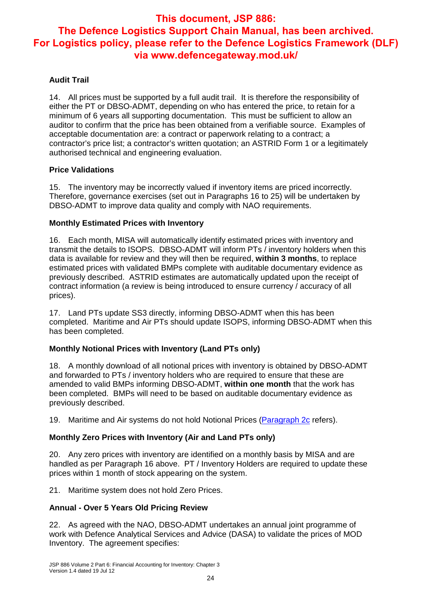## **Audit Trail**

14. All prices must be supported by a full audit trail. It is therefore the responsibility of either the PT or DBSO-ADMT, depending on who has entered the price, to retain for a minimum of 6 years all supporting documentation. This must be sufficient to allow an auditor to confirm that the price has been obtained from a verifiable source. Examples of acceptable documentation are: a contract or paperwork relating to a contract; a contractor's price list; a contractor's written quotation; an ASTRID Form 1 or a legitimately authorised technical and engineering evaluation.

### **Price Validations**

15. The inventory may be incorrectly valued if inventory items are priced incorrectly. Therefore, governance exercises (set out in Paragraphs 16 to 25) will be undertaken by DBSO-ADMT to improve data quality and comply with NAO requirements.

## **Monthly Estimated Prices with Inventory**

16. Each month, MISA will automatically identify estimated prices with inventory and transmit the details to ISOPS. DBSO-ADMT will inform PTs / inventory holders when this data is available for review and they will then be required, **within 3 months**, to replace estimated prices with validated BMPs complete with auditable documentary evidence as previously described. ASTRID estimates are automatically updated upon the receipt of contract information (a review is being introduced to ensure currency / accuracy of all prices).

17. Land PTs update SS3 directly, informing DBSO-ADMT when this has been completed. Maritime and Air PTs should update ISOPS, informing DBSO-ADMT when this has been completed.

### **Monthly Notional Prices with Inventory (Land PTs only)**

18. A monthly download of all notional prices with inventory is obtained by DBSO-ADMT and forwarded to PTs / inventory holders who are required to ensure that these are amended to valid BMPs informing DBSO-ADMT, **within one month** that the work has been completed. BMPs will need to be based on auditable documentary evidence as previously described.

19. Maritime and Air systems do not hold Notional Prices (Paragraph 2c refers).

## **Monthly Zero Prices with Inventory (Air and Land PTs only)**

20. Any zero prices with inventory are identified on a monthly basis by MISA and are handled as per Paragraph 16 above. PT / Inventory Holders are required to update these prices within 1 month of stock appearing on the system.

21. Maritime system does not hold Zero Prices.

## **Annual - Over 5 Years Old Pricing Review**

22. As agreed with the NAO, DBSO-ADMT undertakes an annual joint programme of work with Defence Analytical Services and Advice (DASA) to validate the prices of MOD Inventory. The agreement specifies: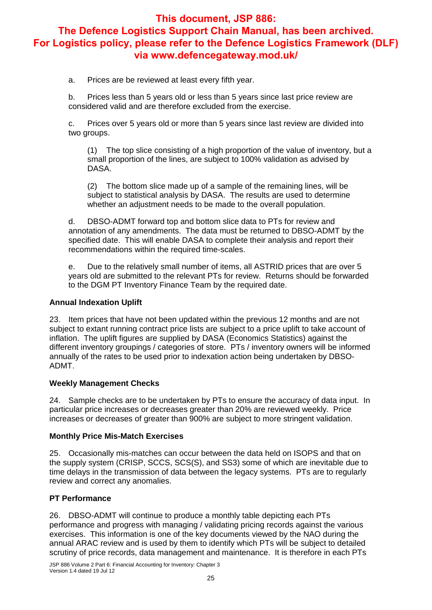a. Prices are be reviewed at least every fifth year.

b. Prices less than 5 years old or less than 5 years since last price review are considered valid and are therefore excluded from the exercise.

c. Prices over 5 years old or more than 5 years since last review are divided into two groups.

(1) The top slice consisting of a high proportion of the value of inventory, but a small proportion of the lines, are subject to 100% validation as advised by DASA.

(2) The bottom slice made up of a sample of the remaining lines, will be subject to statistical analysis by DASA. The results are used to determine whether an adjustment needs to be made to the overall population.

d. DBSO-ADMT forward top and bottom slice data to PTs for review and annotation of any amendments. The data must be returned to DBSO-ADMT by the specified date. This will enable DASA to complete their analysis and report their recommendations within the required time-scales.

e. Due to the relatively small number of items, all ASTRID prices that are over 5 years old are submitted to the relevant PTs for review. Returns should be forwarded to the DGM PT Inventory Finance Team by the required date.

### **Annual Indexation Uplift**

23. Item prices that have not been updated within the previous 12 months and are not subject to extant running contract price lists are subject to a price uplift to take account of inflation. The uplift figures are supplied by DASA (Economics Statistics) against the different inventory groupings / categories of store. PTs / inventory owners will be informed annually of the rates to be used prior to indexation action being undertaken by DBSO-ADMT.

### **Weekly Management Checks**

24. Sample checks are to be undertaken by PTs to ensure the accuracy of data input. In particular price increases or decreases greater than 20% are reviewed weekly. Price increases or decreases of greater than 900% are subject to more stringent validation.

### **Monthly Price Mis-Match Exercises**

25. Occasionally mis-matches can occur between the data held on ISOPS and that on the supply system (CRISP, SCCS, SCS(S), and SS3) some of which are inevitable due to time delays in the transmission of data between the legacy systems. PTs are to regularly review and correct any anomalies.

## **PT Performance**

26. DBSO-ADMT will continue to produce a monthly table depicting each PTs performance and progress with managing / validating pricing records against the various exercises. This information is one of the key documents viewed by the NAO during the annual ARAC review and is used by them to identify which PTs will be subject to detailed scrutiny of price records, data management and maintenance. It is therefore in each PTs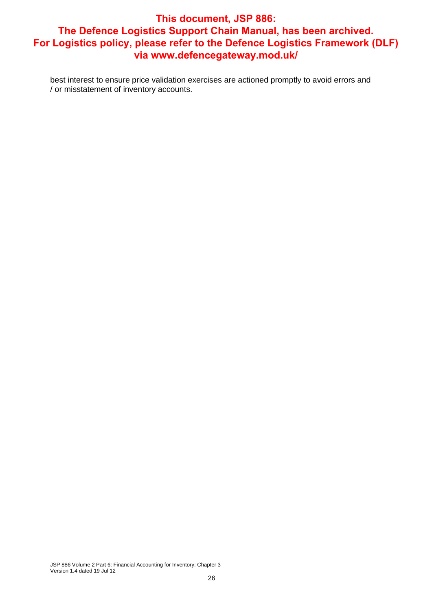best interest to ensure price validation exercises are actioned promptly to avoid errors and / or misstatement of inventory accounts.

JSP 886 Volume 2 Part 6: Financial Accounting for Inventory: Chapter 3 Version 1.4 dated 19 Jul 12